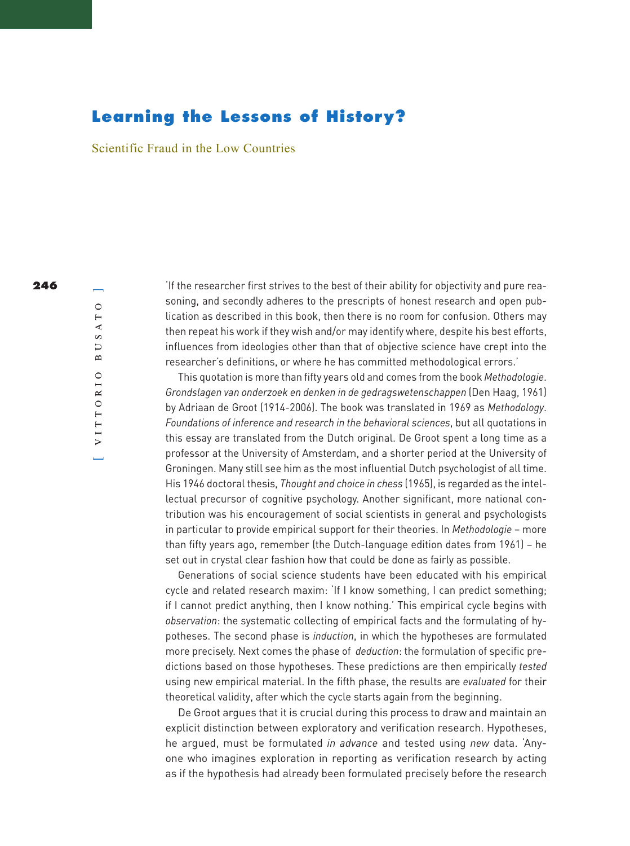Scientific Fraud in the Low Countries

'If the researcher first strives to the best of their ability for objectivity and pure reasoning, and secondly adheres to the prescripts of honest research and open publication as described in this book, then there is no room for confusion. Others may then repeat his work if they wish and/or may identify where, despite his best efforts, influences from ideologies other than that of objective science have crept into the researcher's definitions, or where he has committed methodological errors.'

**Exampling the Lessons of History?**<br>
Scientific Fraud in the Low Countries<br>
Scientific Fraud in the Low Countries<br>
on solid and secondly adheres to the prescripts of h<br>
lication as described in this book, then there is no This quotation is more than fifty years old and comes from the book *Methodologie*. *Grondslagen van onderzoek en denken in de gedragswetenschappen* (Den Haag, 1961) by Adriaan de Groot (1914-2006). The book was translated in 1969 as *Methodology*. *Foundations of inference and research in the behavioral sciences*, but all quotations in this essay are translated from the Dutch original. De Groot spent a long time as a professor at the University of Amsterdam, and a shorter period at the University of Groningen. Many still see him as the most influential Dutch psychologist of all time. His 1946 doctoral thesis, *Thought and choice in chess* (1965), is regarded as the intellectual precursor of cognitive psychology. Another significant, more national contribution was his encouragement of social scientists in general and psychologists in particular to provide empirical support for their theories. In *Methodologie* – more than fifty years ago, remember (the Dutch-language edition dates from 1961) – he set out in crystal clear fashion how that could be done as fairly as possible.

> Generations of social science students have been educated with his empirical cycle and related research maxim: 'If I know something, I can predict something; if I cannot predict anything, then I know nothing.' This empirical cycle begins with *observation*: the systematic collecting of empirical facts and the formulating of hypotheses. The second phase is *induction*, in which the hypotheses are formulated more precisely. Next comes the phase of *deduction*: the formulation of specific predictions based on those hypotheses. These predictions are then empirically *tested*  using new empirical material. In the fifth phase, the results are *evaluated* for their theoretical validity, after which the cycle starts again from the beginning.

> De Groot argues that it is crucial during this process to draw and maintain an explicit distinction between exploratory and verification research. Hypotheses, he argued, must be formulated *in advance* and tested using *new* data. 'Anyone who imagines exploration in reporting as verification research by acting as if the hypothesis had already been formulated precisely before the research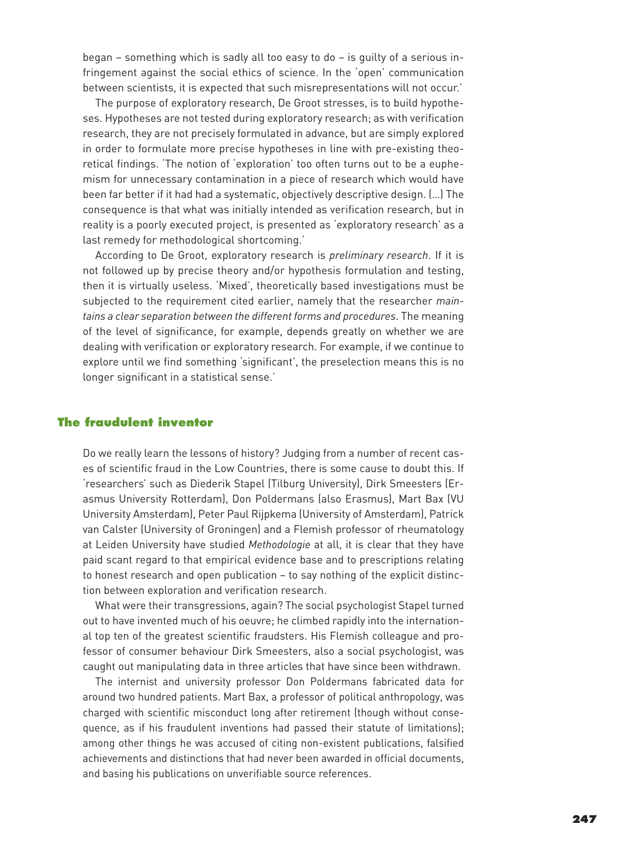began – something which is sadly all too easy to do – is guilty of a serious infringement against the social ethics of science. In the 'open' communication between scientists, it is expected that such misrepresentations will not occur.'

The purpose of exploratory research, De Groot stresses, is to build hypotheses. Hypotheses are not tested during exploratory research; as with verification research, they are not precisely formulated in advance, but are simply explored in order to formulate more precise hypotheses in line with pre-existing theoretical findings. 'The notion of 'exploration' too often turns out to be a euphemism for unnecessary contamination in a piece of research which would have been far better if it had had a systematic, objectively descriptive design. (…) The consequence is that what was initially intended as verification research, but in reality is a poorly executed project, is presented as 'exploratory research' as a last remedy for methodological shortcoming.'

According to De Groot, exploratory research is *preliminary research*. If it is not followed up by precise theory and/or hypothesis formulation and testing, then it is virtually useless. 'Mixed', theoretically based investigations must be subjected to the requirement cited earlier, namely that the researcher *maintains a clear separation between the different forms and procedures*. The meaning of the level of significance, for example, depends greatly on whether we are dealing with verification or exploratory research. For example, if we continue to explore until we find something 'significant', the preselection means this is no longer significant in a statistical sense.'

# **The fraudulent inventor**

Do we really learn the lessons of history? Judging from a number of recent cases of scientific fraud in the Low Countries, there is some cause to doubt this. If 'researchers' such as Diederik Stapel (Tilburg University), Dirk Smeesters (Erasmus University Rotterdam), Don Poldermans (also Erasmus), Mart Bax (VU University Amsterdam), Peter Paul Rijpkema (University of Amsterdam), Patrick van Calster (University of Groningen) and a Flemish professor of rheumatology at Leiden University have studied *Methodologie* at all, it is clear that they have paid scant regard to that empirical evidence base and to prescriptions relating to honest research and open publication – to say nothing of the explicit distinction between exploration and verification research.

What were their transgressions, again? The social psychologist Stapel turned out to have invented much of his oeuvre; he climbed rapidly into the international top ten of the greatest scientific fraudsters. His Flemish colleague and professor of consumer behaviour Dirk Smeesters, also a social psychologist, was caught out manipulating data in three articles that have since been withdrawn.

The internist and university professor Don Poldermans fabricated data for around two hundred patients. Mart Bax, a professor of political anthropology, was charged with scientific misconduct long after retirement (though without consequence, as if his fraudulent inventions had passed their statute of limitations); among other things he was accused of citing non-existent publications, falsified achievements and distinctions that had never been awarded in official documents, and basing his publications on unverifiable source references.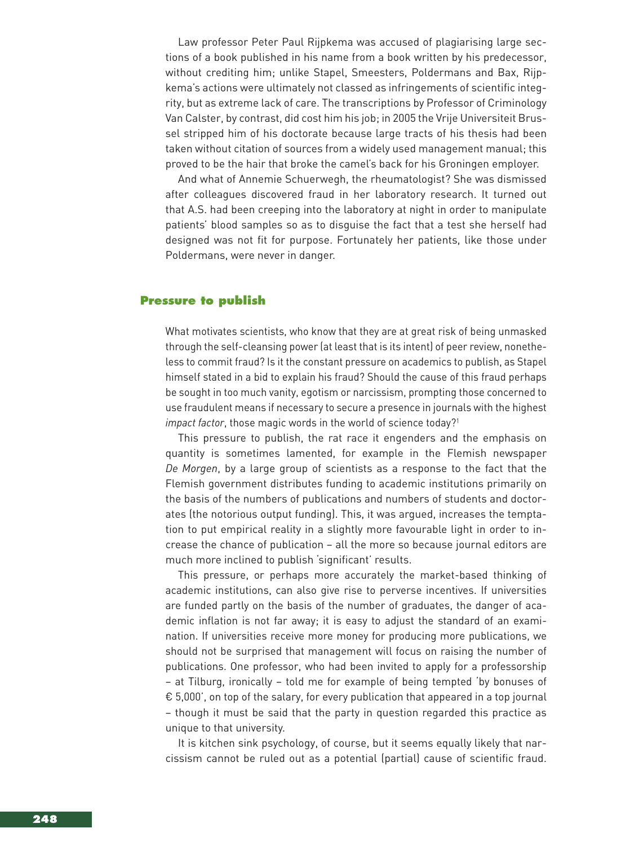Law professor Peter Paul Rijpkema was accused of plagiarising large sections of a book published in his name from a book written by his predecessor, without crediting him; unlike Stapel, Smeesters, Poldermans and Bax, Rijpkema's actions were ultimately not classed as infringements of scientific integrity, but as extreme lack of care. The transcriptions by Professor of Criminology Van Calster, by contrast, did cost him his job; in 2005 the Vrije Universiteit Brussel stripped him of his doctorate because large tracts of his thesis had been taken without citation of sources from a widely used management manual; this proved to be the hair that broke the camel's back for his Groningen employer.

And what of Annemie Schuerwegh, the rheumatologist? She was dismissed after colleagues discovered fraud in her laboratory research. It turned out that A.S. had been creeping into the laboratory at night in order to manipulate patients' blood samples so as to disguise the fact that a test she herself had designed was not fit for purpose. Fortunately her patients, like those under Poldermans, were never in danger.

## **Pressure to publish**

What motivates scientists, who know that they are at great risk of being unmasked through the self-cleansing power (at least that is its intent) of peer review, nonetheless to commit fraud? Is it the constant pressure on academics to publish, as Stapel himself stated in a bid to explain his fraud? Should the cause of this fraud perhaps be sought in too much vanity, egotism or narcissism, prompting those concerned to use fraudulent means if necessary to secure a presence in journals with the highest *impact factor*, those magic words in the world of science today?<sup>1</sup>

This pressure to publish, the rat race it engenders and the emphasis on quantity is sometimes lamented, for example in the Flemish newspaper *De Morgen*, by a large group of scientists as a response to the fact that the Flemish government distributes funding to academic institutions primarily on the basis of the numbers of publications and numbers of students and doctorates (the notorious output funding). This, it was argued, increases the temptation to put empirical reality in a slightly more favourable light in order to increase the chance of publication – all the more so because journal editors are much more inclined to publish 'significant' results.

This pressure, or perhaps more accurately the market-based thinking of academic institutions, can also give rise to perverse incentives. If universities are funded partly on the basis of the number of graduates, the danger of academic inflation is not far away; it is easy to adjust the standard of an examination. If universities receive more money for producing more publications, we should not be surprised that management will focus on raising the number of publications. One professor, who had been invited to apply for a professorship – at Tilburg, ironically – told me for example of being tempted 'by bonuses of  $\epsilon$  5,000', on top of the salary, for every publication that appeared in a top journal – though it must be said that the party in question regarded this practice as unique to that university.

It is kitchen sink psychology, of course, but it seems equally likely that narcissism cannot be ruled out as a potential (partial) cause of scientific fraud.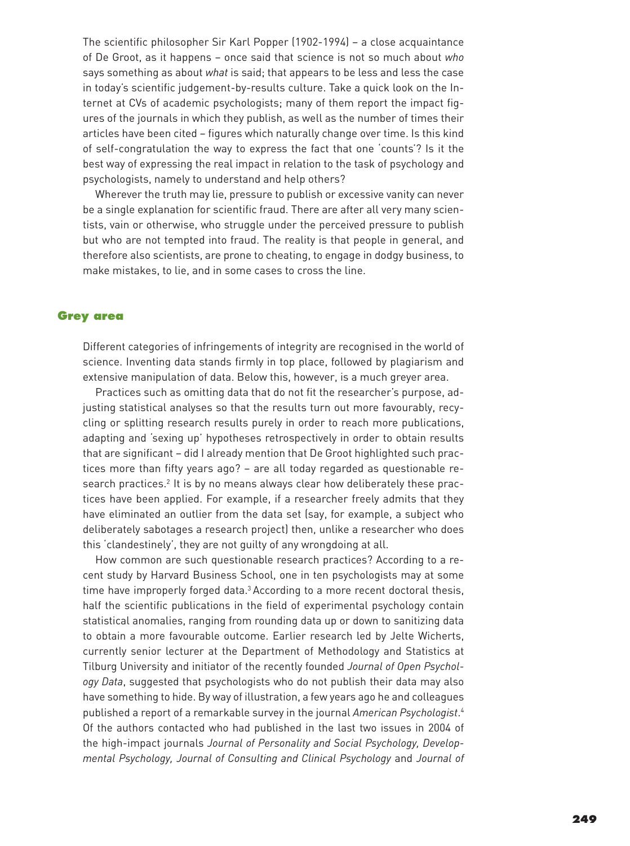The scientific philosopher Sir Karl Popper (1902-1994) – a close acquaintance of De Groot, as it happens – once said that science is not so much about *who* says something as about *what* is said; that appears to be less and less the case in today's scientific judgement-by-results culture. Take a quick look on the Internet at CVs of academic psychologists; many of them report the impact figures of the journals in which they publish, as well as the number of times their articles have been cited – figures which naturally change over time. Is this kind of self-congratulation the way to express the fact that one 'counts'? Is it the best way of expressing the real impact in relation to the task of psychology and psychologists, namely to understand and help others?

Wherever the truth may lie, pressure to publish or excessive vanity can never be a single explanation for scientific fraud. There are after all very many scientists, vain or otherwise, who struggle under the perceived pressure to publish but who are not tempted into fraud. The reality is that people in general, and therefore also scientists, are prone to cheating, to engage in dodgy business, to make mistakes, to lie, and in some cases to cross the line.

## **Grey area**

Different categories of infringements of integrity are recognised in the world of science. Inventing data stands firmly in top place, followed by plagiarism and extensive manipulation of data. Below this, however, is a much greyer area.

Practices such as omitting data that do not fit the researcher's purpose, adjusting statistical analyses so that the results turn out more favourably, recycling or splitting research results purely in order to reach more publications, adapting and 'sexing up' hypotheses retrospectively in order to obtain results that are significant – did I already mention that De Groot highlighted such practices more than fifty years ago? – are all today regarded as questionable research practices.<sup>2</sup> It is by no means always clear how deliberately these practices have been applied. For example, if a researcher freely admits that they have eliminated an outlier from the data set (say, for example, a subject who deliberately sabotages a research project) then, unlike a researcher who does this 'clandestinely', they are not guilty of any wrongdoing at all.

How common are such questionable research practices? According to a recent study by Harvard Business School, one in ten psychologists may at some time have improperly forged data.<sup>3</sup> According to a more recent doctoral thesis, half the scientific publications in the field of experimental psychology contain statistical anomalies, ranging from rounding data up or down to sanitizing data to obtain a more favourable outcome. Earlier research led by Jelte Wicherts, currently senior lecturer at the Department of Methodology and Statistics at Tilburg University and initiator of the recently founded *Journal of Open Psychology Data*, suggested that psychologists who do not publish their data may also have something to hide. By way of illustration, a few years ago he and colleagues published a report of a remarkable survey in the journal *American Psychologist*. 4 Of the authors contacted who had published in the last two issues in 2004 of the high-impact journals *Journal of Personality and Social Psychology, Developmental Psychology, Journal of Consulting and Clinical Psychology* and *Journal of*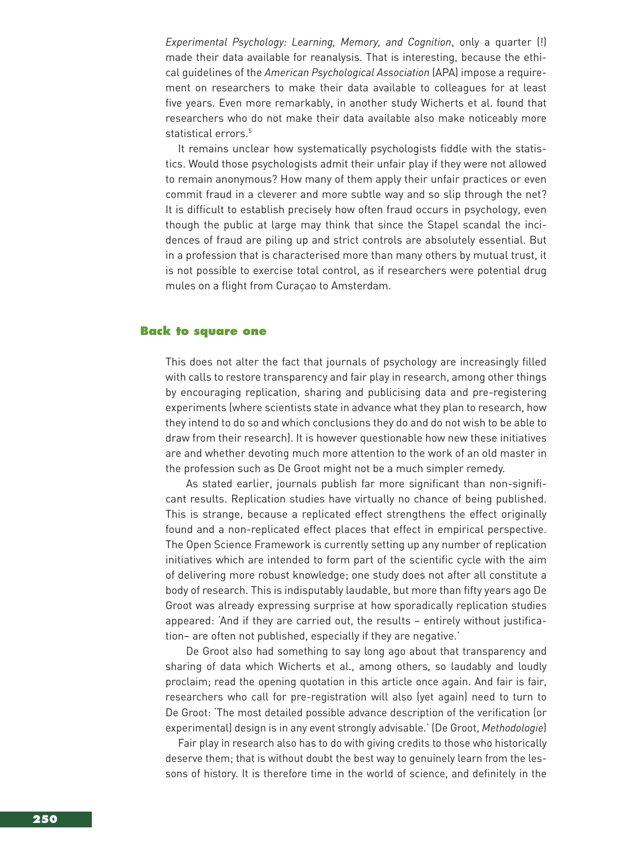*Experimental Psychology: Learning, Memory, and Cognition*, only a quarter (!) made their data available for reanalysis. That is interesting, because the ethical guidelines of the *American Psychological Association* (APA) impose a requirement on researchers to make their data available to colleagues for at least five years. Even more remarkably, in another study Wicherts et al. found that researchers who do not make their data available also make noticeably more statistical errors.<sup>5</sup>

It remains unclear how systematically psychologists fiddle with the statistics. Would those psychologists admit their unfair play if they were not allowed to remain anonymous? How many of them apply their unfair practices or even commit fraud in a cleverer and more subtle way and so slip through the net? It is difficult to establish precisely how often fraud occurs in psychology, even though the public at large may think that since the Stapel scandal the incidences of fraud are piling up and strict controls are absolutely essential. But in a profession that is characterised more than many others by mutual trust, it is not possible to exercise total control, as if researchers were potential drug mules on a flight from Curaçao to Amsterdam.

#### **Back to square one**

This does not alter the fact that journals of psychology are increasingly filled with calls to restore transparency and fair play in research, among other things by encouraging replication, sharing and publicising data and pre-registering experiments (where scientists state in advance what they plan to research, how they intend to do so and which conclusions they do and do not wish to be able to draw from their research). It is however questionable how new these initiatives are and whether devoting much more attention to the work of an old master in the profession such as De Groot might not be a much simpler remedy.

As stated earlier, journals publish far more significant than non-significant results. Replication studies have virtually no chance of being published. This is strange, because a replicated effect strengthens the effect originally found and a non-replicated effect places that effect in empirical perspective. The Open Science Framework is currently setting up any number of replication initiatives which are intended to form part of the scientific cycle with the aim of delivering more robust knowledge; one study does not after all constitute a body of research. This is indisputably laudable, but more than fifty years ago De Groot was already expressing surprise at how sporadically replication studies appeared: 'And if they are carried out, the results – entirely without justification– are often not published, especially if they are negative.'

De Groot also had something to say long ago about that transparency and sharing of data which Wicherts et al., among others, so laudably and loudly proclaim; read the opening quotation in this article once again. And fair is fair, researchers who call for pre-registration will also (yet again) need to turn to De Groot: 'The most detailed possible advance description of the verification (or experimental) design is in any event strongly advisable.' (De Groot, *Methodologie*)

Fair play in research also has to do with giving credits to those who historically deserve them; that is without doubt the best way to genuinely learn from the lessons of history. It is therefore time in the world of science, and definitely in the